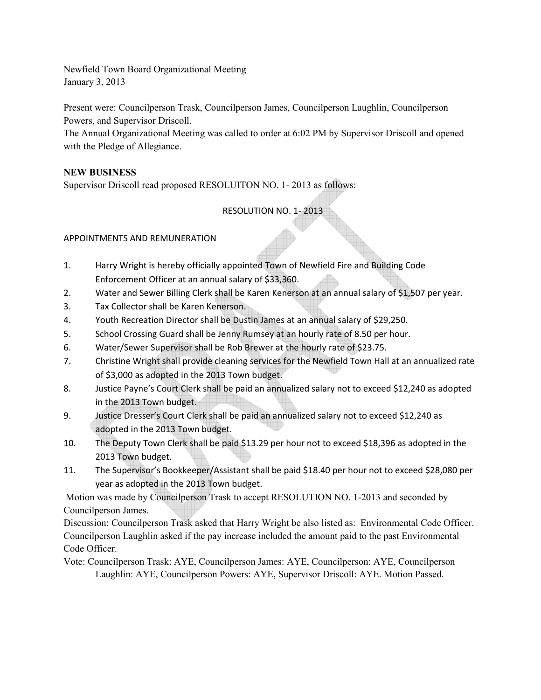Newfield Town Board Organizational Meeting January 3, 2013

Present were: Councilperson Trask, Councilperson James, Councilperson Laughlin, Councilperson Powers, and Supervisor Driscoll.

The Annual Organizational Meeting was called to order at 6:02 PM by Supervisor Driscoll and opened with the Pledge of Allegiance.

## **NEW BUSINESS**

Supervisor Driscoll read proposed RESOLUITON NO. 1- 2013 as follows:

# RESOLUTION NO. 1- 2013

## APPOINTMENTS AND REMUNERATION

- 1. Harry Wright is hereby officially appointed Town of Newfield Fire and Building Code Enforcement Officer at an annual salary of \$33,360.
- 2. Water and Sewer Billing Clerk shall be Karen Kenerson at an annual salary of \$1,507 per year.
- 3. Tax Collector shall be Karen Kenerson.
- 4. Youth Recreation Director shall be Dustin James at an annual salary of \$29,250.
- 5. School Crossing Guard shall be Jenny Rumsey at an hourly rate of 8.50 per hour.
- 6. Water/Sewer Supervisor shall be Rob Brewer at the hourly rate of \$23.75.
- 7. Christine Wright shall provide cleaning services for the Newfield Town Hall at an annualized rate of \$3,000 as adopted in the 2013 Town budget.
- 8. Justice Payne's Court Clerk shall be paid an annualized salary not to exceed \$12,240 as adopted in the 2013 Town budget.
- 9. Justice Dresser's Court Clerk shall be paid an annualized salary not to exceed \$12,240 as adopted in the 2013 Town budget.
- 10. The Deputy Town Clerk shall be paid \$13.29 per hour not to exceed \$18,396 as adopted in the 2013 Town budget.
- 11. The Supervisor's Bookkeeper/Assistant shall be paid \$18.40 per hour not to exceed \$28,080 per year as adopted in the 2013 Town budget.

Motion was made by Councilperson Trask to accept RESOLUTION NO. 1-2013 and seconded by Councilperson James.

Discussion: Councilperson Trask asked that Harry Wright be also listed as: Environmental Code Officer. Councilperson Laughlin asked if the pay increase included the amount paid to the past Environmental Code Officer.

Vote: Councilperson Trask: AYE, Councilperson James: AYE, Councilperson: AYE, Councilperson Laughlin: AYE, Councilperson Powers: AYE, Supervisor Driscoll: AYE. Motion Passed.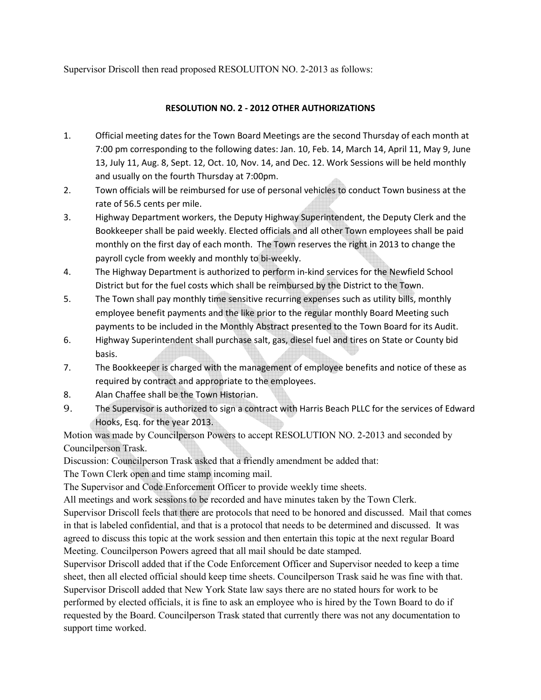Supervisor Driscoll then read proposed RESOLUITON NO. 2-2013 as follows:

### **RESOLUTION NO. 2 - 2012 OTHER AUTHORIZATIONS**

- 1. Official meeting dates for the Town Board Meetings are the second Thursday of each month at 7:00 pm corresponding to the following dates: Jan. 10, Feb. 14, March 14, April 11, May 9, June 13, July 11, Aug. 8, Sept. 12, Oct. 10, Nov. 14, and Dec. 12. Work Sessions will be held monthly and usually on the fourth Thursday at 7:00pm.
- 2. Town officials will be reimbursed for use of personal vehicles to conduct Town business at the rate of 56.5 cents per mile.
- 3. Highway Department workers, the Deputy Highway Superintendent, the Deputy Clerk and the Bookkeeper shall be paid weekly. Elected officials and all other Town employees shall be paid monthly on the first day of each month. The Town reserves the right in 2013 to change the payroll cycle from weekly and monthly to bi-weekly.
- 4. The Highway Department is authorized to perform in-kind services for the Newfield School District but for the fuel costs which shall be reimbursed by the District to the Town.
- 5. The Town shall pay monthly time sensitive recurring expenses such as utility bills, monthly employee benefit payments and the like prior to the regular monthly Board Meeting such payments to be included in the Monthly Abstract presented to the Town Board for its Audit.
- 6. Highway Superintendent shall purchase salt, gas, diesel fuel and tires on State or County bid basis.
- 7. The Bookkeeper is charged with the management of employee benefits and notice of these as required by contract and appropriate to the employees.
- 8. Alan Chaffee shall be the Town Historian.
- 9. The Supervisor is authorized to sign a contract with Harris Beach PLLC for the services of Edward Hooks, Esq. for the year 2013.

Motion was made by Councilperson Powers to accept RESOLUTION NO. 2-2013 and seconded by Councilperson Trask.

Discussion: Councilperson Trask asked that a friendly amendment be added that:

The Town Clerk open and time stamp incoming mail.

The Supervisor and Code Enforcement Officer to provide weekly time sheets.

All meetings and work sessions to be recorded and have minutes taken by the Town Clerk.

Supervisor Driscoll feels that there are protocols that need to be honored and discussed. Mail that comes in that is labeled confidential, and that is a protocol that needs to be determined and discussed. It was agreed to discuss this topic at the work session and then entertain this topic at the next regular Board Meeting. Councilperson Powers agreed that all mail should be date stamped.

Supervisor Driscoll added that if the Code Enforcement Officer and Supervisor needed to keep a time sheet, then all elected official should keep time sheets. Councilperson Trask said he was fine with that. Supervisor Driscoll added that New York State law says there are no stated hours for work to be performed by elected officials, it is fine to ask an employee who is hired by the Town Board to do if requested by the Board. Councilperson Trask stated that currently there was not any documentation to support time worked.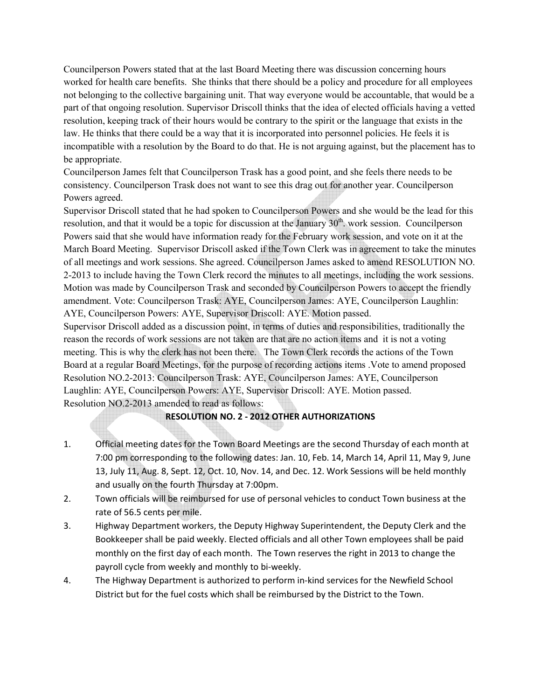Councilperson Powers stated that at the last Board Meeting there was discussion concerning hours worked for health care benefits. She thinks that there should be a policy and procedure for all employees not belonging to the collective bargaining unit. That way everyone would be accountable, that would be a part of that ongoing resolution. Supervisor Driscoll thinks that the idea of elected officials having a vetted resolution, keeping track of their hours would be contrary to the spirit or the language that exists in the law. He thinks that there could be a way that it is incorporated into personnel policies. He feels it is incompatible with a resolution by the Board to do that. He is not arguing against, but the placement has to be appropriate.

Councilperson James felt that Councilperson Trask has a good point, and she feels there needs to be consistency. Councilperson Trask does not want to see this drag out for another year. Councilperson Powers agreed.

Supervisor Driscoll stated that he had spoken to Councilperson Powers and she would be the lead for this resolution, and that it would be a topic for discussion at the January  $30<sup>th</sup>$ . work session. Councilperson Powers said that she would have information ready for the February work session, and vote on it at the March Board Meeting. Supervisor Driscoll asked if the Town Clerk was in agreement to take the minutes of all meetings and work sessions. She agreed. Councilperson James asked to amend RESOLUTION NO. 2-2013 to include having the Town Clerk record the minutes to all meetings, including the work sessions. Motion was made by Councilperson Trask and seconded by Councilperson Powers to accept the friendly amendment. Vote: Councilperson Trask: AYE, Councilperson James: AYE, Councilperson Laughlin: AYE, Councilperson Powers: AYE, Supervisor Driscoll: AYE. Motion passed.

Supervisor Driscoll added as a discussion point, in terms of duties and responsibilities, traditionally the reason the records of work sessions are not taken are that are no action items and it is not a voting meeting. This is why the clerk has not been there. The Town Clerk records the actions of the Town Board at a regular Board Meetings, for the purpose of recording actions items .Vote to amend proposed Resolution NO.2-2013: Councilperson Trask: AYE, Councilperson James: AYE, Councilperson Laughlin: AYE, Councilperson Powers: AYE, Supervisor Driscoll: AYE. Motion passed. Resolution NO.2-2013 amended to read as follows:

#### **RESOLUTION NO. 2 - 2012 OTHER AUTHORIZATIONS**

- 1. Official meeting dates for the Town Board Meetings are the second Thursday of each month at 7:00 pm corresponding to the following dates: Jan. 10, Feb. 14, March 14, April 11, May 9, June 13, July 11, Aug. 8, Sept. 12, Oct. 10, Nov. 14, and Dec. 12. Work Sessions will be held monthly and usually on the fourth Thursday at 7:00pm.
- 2. Town officials will be reimbursed for use of personal vehicles to conduct Town business at the rate of 56.5 cents per mile.
- 3. Highway Department workers, the Deputy Highway Superintendent, the Deputy Clerk and the Bookkeeper shall be paid weekly. Elected officials and all other Town employees shall be paid monthly on the first day of each month. The Town reserves the right in 2013 to change the payroll cycle from weekly and monthly to bi-weekly.
- 4. The Highway Department is authorized to perform in-kind services for the Newfield School District but for the fuel costs which shall be reimbursed by the District to the Town.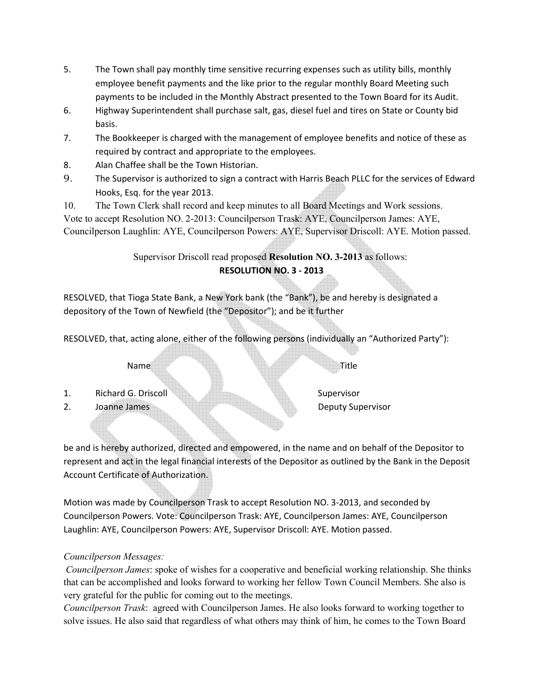- 5. The Town shall pay monthly time sensitive recurring expenses such as utility bills, monthly employee benefit payments and the like prior to the regular monthly Board Meeting such payments to be included in the Monthly Abstract presented to the Town Board for its Audit.
- 6. Highway Superintendent shall purchase salt, gas, diesel fuel and tires on State or County bid basis.
- 7. The Bookkeeper is charged with the management of employee benefits and notice of these as required by contract and appropriate to the employees.
- 8. Alan Chaffee shall be the Town Historian.
- 9. The Supervisor is authorized to sign a contract with Harris Beach PLLC for the services of Edward Hooks, Esq. for the year 2013.

10. The Town Clerk shall record and keep minutes to all Board Meetings and Work sessions. Vote to accept Resolution NO. 2-2013: Councilperson Trask: AYE, Councilperson James: AYE, Councilperson Laughlin: AYE, Councilperson Powers: AYE, Supervisor Driscoll: AYE. Motion passed.

## Supervisor Driscoll read proposed **Resolution NO. 3-2013** as follows: **RESOLUTION NO. 3 - 2013**

RESOLVED, that Tioga State Bank, a New York bank (the "Bank"), be and hereby is designated a depository of the Town of Newfield (the "Depositor"); and be it further

RESOLVED, that, acting alone, either of the following persons (individually an "Authorized Party"):

Name Title **Name Title** 

- 1. Richard G. Driscoll Supervisor
- 2. Joanne James **Deputy Supervisor**

be and is hereby authorized, directed and empowered, in the name and on behalf of the Depositor to represent and act in the legal financial interests of the Depositor as outlined by the Bank in the Deposit Account Certificate of Authorization.

Motion was made by Councilperson Trask to accept Resolution NO. 3-2013, and seconded by Councilperson Powers. Vote: Councilperson Trask: AYE, Councilperson James: AYE, Councilperson Laughlin: AYE, Councilperson Powers: AYE, Supervisor Driscoll: AYE. Motion passed.

## *Councilperson Messages:*

*Councilperson James*: spoke of wishes for a cooperative and beneficial working relationship. She thinks that can be accomplished and looks forward to working her fellow Town Council Members. She also is very grateful for the public for coming out to the meetings.

*Councilperson Trask*: agreed with Councilperson James. He also looks forward to working together to solve issues. He also said that regardless of what others may think of him, he comes to the Town Board